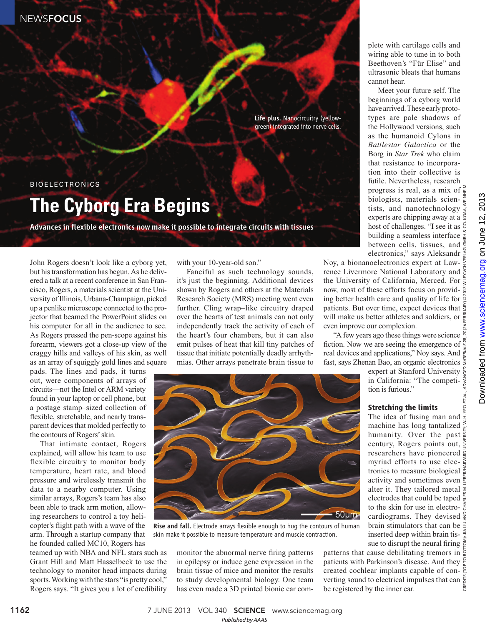**NEWSFOCUS** 

Life plus. Nanocircuitry (yellowgreen) integrated into nerve cells.

BIOELECTRONICS

## **The Cyborg Era Begins**

Advances in flexible electronics now make it possible to integrate circuits with tissues

John Rogers doesn't look like a cyborg yet, but his transformation has begun. As he delivered a talk at a recent conference in San Francisco, Rogers, a materials scientist at the University of Illinois, Urbana-Champaign, picked up a penlike microscope connected to the projector that beamed the PowerPoint slides on his computer for all in the audience to see. As Rogers pressed the pen-scope against his forearm, viewers got a close-up view of the craggy hills and valleys of his skin, as well as an array of squiggly gold lines and square

pads. The lines and pads, it turns out, were components of arrays of circuits—not the Intel or ARM variety found in your laptop or cell phone, but a postage stamp–sized collection of flexible, stretchable, and nearly transparent devices that molded perfectly to the contours of Rogers' skin.

That intimate contact, Rogers explained, will allow his team to use flexible circuitry to monitor body temperature, heart rate, and blood pressure and wirelessly transmit the data to a nearby computer. Using similar arrays, Rogers's team has also been able to track arm motion, allowing researchers to control a toy helicopter's flight path with a wave of the arm. Through a startup company that he founded called MC10, Rogers has

teamed up with NBA and NFL stars such as Grant Hill and Matt Hasselbeck to use the technology to monitor head impacts during sports. Working with the stars "is pretty cool," Rogers says. "It gives you a lot of credibility

with your 10-year-old son."

Fanciful as such technology sounds, it's just the beginning. Additional devices shown by Rogers and others at the Materials Research Society (MRS) meeting went even further. Cling wrap–like circuitry draped over the hearts of test animals can not only independently track the activity of each of the heart's four chambers, but it can also emit pulses of heat that kill tiny patches of tissue that initiate potentially deadly arrhythmias. Other arrays penetrate brain tissue to



Rise and fall. Electrode arrays flexible enough to hug the contours of human skin make it possible to measure temperature and muscle contraction.

monitor the abnormal nerve firing patterns in epilepsy or induce gene expression in the brain tissue of mice and monitor the results to study developmental biology. One team has even made a 3D printed bionic ear complete with cartilage cells and wiring able to tune in to both Beethoven's "Für Elise" and ultrasonic bleats that humans cannot hear.

Meet your future self. The beginnings of a cyborg world have arrived. These early prototypes are pale shadows of the Hollywood versions, such as the humanoid Cylons in *Battlestar Galactica* or the Borg in *Star Trek* who claim that resistance to incorporation into their collective is futile. Nevertheless, research progress is real, as a mix of  $\frac{5}{7}$ biologists, materials scientists, and nanotechnology  $\frac{3}{5}$ experts are chipping away at a  $\frac{3}{2}$ host of challenges. "I see it as building a seamless interface between cells, tissues, and  $\frac{3}{5}$ electronics," says Aleksandr $\frac{8}{6}$ 

Noy, a bionanoelectronics expert at Lawrence Livermore National Laboratory and  $\frac{1}{2}$ the University of California, Merced. For now, most of these efforts focus on providing better health care and quality of life for patients. But over time, expect devices that will make us better athletes and soldiers, or even improve our complexion.

"A few years ago these things were science fiction. Now we are seeing the emergence of  $\frac{8}{9}$ real devices and applications," Noy says. And fast, says Zhenan Bao, an organic electronics

> expert at Stanford University in California: "The competition is furious."

## **Stretching the limits**

CREDITS (TOP TO BOTTOM): JIA LIU AND CHARLES M. LIEBER/HARVARD UNIVERSITY; W.-H. YEO ET AL., ADVANCED MATERIALS 25, 20 (26 FEBRUARY) © 2013 WILEY-VCH VERLAG GMBH & CO. KGAA, WEINHEIM The idea of fusing man and machine has long tantalized humanity. Over the past century, Rogers points out,  $\frac{3}{2}$ researchers have pioneered myriad efforts to use electronics to measure biological  $\frac{3}{8}$ activity and sometimes even alter it. They tailored metal  $\frac{1}{2}$ electrodes that could be taped  $\frac{32}{6}$ to the skin for use in electrocardiograms. They devised brain stimulators that can be  $\exists$ inserted deep within brain tissue to disrupt the neural firing  $\frac{5}{9}$ 

patterns that cause debilitating tremors in  $\frac{5}{9}$ patients with Parkinson's disease. And they created cochlear implants capable of converting sound to electrical impulses that can be registered by the inner ear.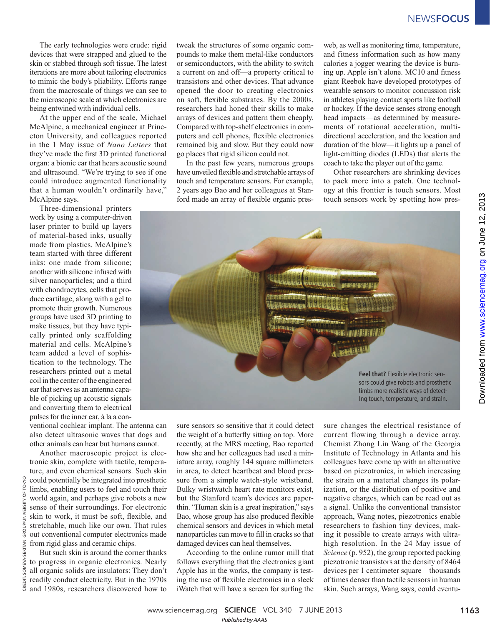The early technologies were crude: rigid devices that were strapped and glued to the skin or stabbed through soft tissue. The latest iterations are more about tailoring electronics to mimic the body's pliability. Efforts range from the macroscale of things we can see to the microscopic scale at which electronics are being entwined with individual cells.

At the upper end of the scale, Michael McAlpine, a mechanical engineer at Princeton University, and colleagues reported in the 1 May issue of *Nano Letters* that they've made the first 3D printed functional organ: a bionic ear that hears acoustic sound and ultrasound. "We're trying to see if one could introduce augmented functionality that a human wouldn't ordinarily have," McAlpine says.

Three-dimensional printers work by using a computer-driven laser printer to build up layers of material-based inks, usually made from plastics. McAlpine's team started with three different inks: one made from silicone; another with silicone infused with silver nanoparticles; and a third with chondrocytes, cells that produce cartilage, along with a gel to promote their growth. Numerous groups have used 3D printing to make tissues, but they have typically printed only scaffolding material and cells. McAlpine's team added a level of sophistication to the technology. The researchers printed out a metal coil in the center of the engineered ear that serves as an antenna capable of picking up acoustic signals and converting them to electrical pulses for the inner ear, à la a con-

ventional cochlear implant. The antenna can also detect ultrasonic waves that dogs and other animals can hear but humans cannot.

Another macroscopic project is electronic skin, complete with tactile, temperature, and even chemical sensors. Such skin could potentially be integrated into prosthetic limbs, enabling users to feel and touch their world again, and perhaps give robots a new sense of their surroundings. For electronic skin to work, it must be soft, flexible, and stretchable, much like our own. That rules out conventional computer electronics made from rigid glass and ceramic chips.

But such skin is around the corner thanks to progress in organic electronics. Nearly all organic solids are insulators: They don't readily conduct electricity. But in the 1970s and 1980s, researchers discovered how to

tweak the structures of some organic compounds to make them metal-like conductors or semiconductors, with the ability to switch a current on and off—a property critical to transistors and other devices. That advance opened the door to creating electronics on soft, flexible substrates. By the 2000s, researchers had honed their skills to make arrays of devices and pattern them cheaply. Compared with top-shelf electronics in computers and cell phones, flexible electronics remained big and slow. But they could now go places that rigid silicon could not.

In the past few years, numerous groups have unveiled flexible and stretchable arrays of touch and temperature sensors. For example, 2 years ago Bao and her colleagues at Stanford made an array of flexible organic pres-

web, as well as monitoring time, temperature, and fitness information such as how many calories a jogger wearing the device is burning up. Apple isn't alone. MC10 and fitness giant Reebok have developed prototypes of wearable sensors to monitor concussion risk in athletes playing contact sports like football or hockey. If the device senses strong enough head impacts—as determined by measurements of rotational acceleration, multidirectional acceleration, and the location and duration of the blow—it lights up a panel of light-emitting diodes (LEDs) that alerts the coach to take the player out of the game.

Other researchers are shrinking devices to pack more into a patch. One technology at this frontier is touch sensors. Most touch sensors work by spotting how pres-



sure sensors so sensitive that it could detect the weight of a butterfly sitting on top. More recently, at the MRS meeting, Bao reported how she and her colleagues had used a miniature array, roughly 144 square millimeters in area, to detect heartbeat and blood pressure from a simple watch-style wristband. Bulky wristwatch heart rate monitors exist, but the Stanford team's devices are paperthin. "Human skin is a great inspiration," says Bao, whose group has also produced flexible chemical sensors and devices in which metal nanoparticles can move to fill in cracks so that damaged devices can heal themselves.

According to the online rumor mill that follows everything that the electronics giant Apple has in the works, the company is testing the use of flexible electronics in a sleek iWatch that will have a screen for surfing the

sure changes the electrical resistance of current flowing through a device array. Chemist Zhong Lin Wang of the Georgia Institute of Technology in Atlanta and his colleagues have come up with an alternative based on piezotronics, in which increasing the strain on a material changes its polarization, or the distribution of positive and negative charges, which can be read out as a signal. Unlike the conventional transistor approach, Wang notes, piezotronics enable researchers to fashion tiny devices, making it possible to create arrays with ultrahigh resolution. In the 24 May issue of *Science* (p. 952), the group reported packing piezotronic transistors at the density of 8464 devices per 1 centimeter square—thousands of times denser than tactile sensors in human skin. Such arrays, Wang says, could eventuon June 12, 2013